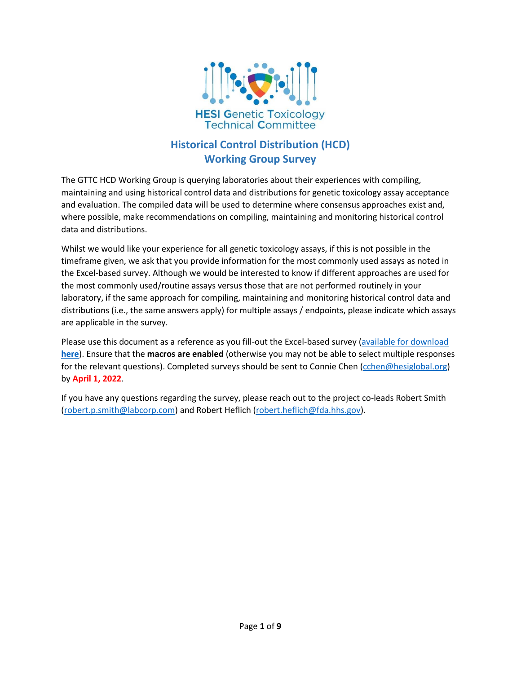

# **Historical Control Distribution (HCD) Working Group Survey**

The GTTC HCD Working Group is querying laboratories about their experiences with compiling, maintaining and using historical control data and distributions for genetic toxicology assay acceptance and evaluation. The compiled data will be used to determine where consensus approaches exist and, where possible, make recommendations on compiling, maintaining and monitoring historical control data and distributions.

Whilst we would like your experience for all genetic toxicology assays, if this is not possible in the timeframe given, we ask that you provide information for the most commonly used assays as noted in the Excel-based survey. Although we would be interested to know if different approaches are used for the most commonly used/routine assays versus those that are not performed routinely in your laboratory, if the same approach for compiling, maintaining and monitoring historical control data and distributions (i.e., the same answers apply) for multiple assays / endpoints, please indicate which assays are applicable in the survey.

Please use this document as a reference as you fill-out the Excel-based survey [\(available for download](https://hesiglobal.org/genetic-toxicology-gttc/)  **[here](https://hesiglobal.org/genetic-toxicology-gttc/)**). Ensure that the **macros are enabled** (otherwise you may not be able to select multiple responses for the relevant questions). Completed surveys should be sent to Connie Chen [\(cchen@hesiglobal.org\)](mailto:cchen@hesiglobal.org) by **April 1, 2022**.

If you have any questions regarding the survey, please reach out to the project co-leads Robert Smith [\(robert.p.smith@labcorp.com\)](mailto:robert.p.smith@labcorp.com) and Robert Heflich [\(robert.heflich@fda.hhs.gov\)](mailto:robert.heflich@fda.hhs.gov).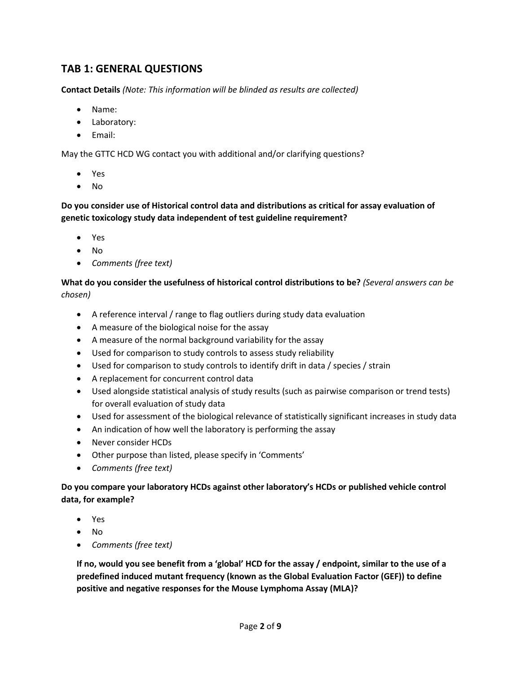# **TAB 1: GENERAL QUESTIONS**

**Contact Details** *(Note: This information will be blinded as results are collected)*

- Name:
- Laboratory:
- Email:

May the GTTC HCD WG contact you with additional and/or clarifying questions?

- Yes
- No

**Do you consider use of Historical control data and distributions as critical for assay evaluation of genetic toxicology study data independent of test guideline requirement?** 

- Yes
- No
- *Comments (free text)*

**What do you consider the usefulness of historical control distributions to be?** *(Several answers can be chosen)*

- A reference interval / range to flag outliers during study data evaluation
- A measure of the biological noise for the assay
- A measure of the normal background variability for the assay
- Used for comparison to study controls to assess study reliability
- Used for comparison to study controls to identify drift in data / species / strain
- A replacement for concurrent control data
- Used alongside statistical analysis of study results (such as pairwise comparison or trend tests) for overall evaluation of study data
- Used for assessment of the biological relevance of statistically significant increases in study data
- An indication of how well the laboratory is performing the assay
- Never consider HCDs
- Other purpose than listed, please specify in 'Comments'
- *Comments (free text)*

## **Do you compare your laboratory HCDs against other laboratory's HCDs or published vehicle control data, for example?**

- Yes
- No
- *Comments (free text)*

**If no, would you see benefit from a 'global' HCD for the assay / endpoint, similar to the use of a predefined induced mutant frequency (known as the Global Evaluation Factor (GEF)) to define positive and negative responses for the Mouse Lymphoma Assay (MLA)?**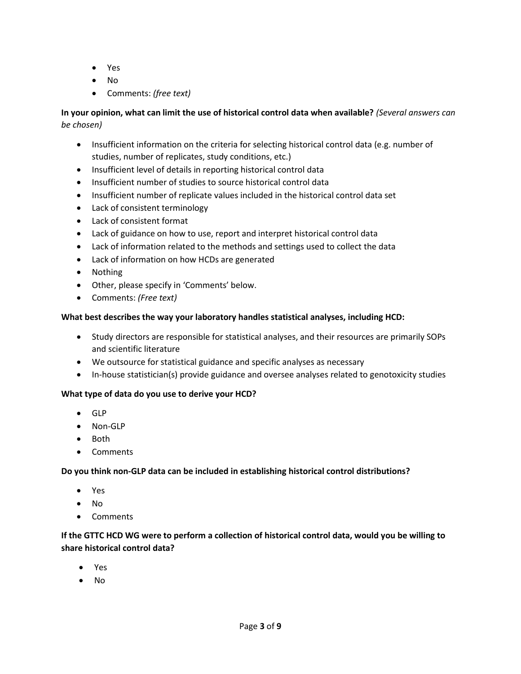- Yes
- No
- Comments: *(free text)*

# **In your opinion, what can limit the use of historical control data when available?** *(Several answers can be chosen)*

- Insufficient information on the criteria for selecting historical control data (e.g. number of studies, number of replicates, study conditions, etc.)
- Insufficient level of details in reporting historical control data
- Insufficient number of studies to source historical control data
- Insufficient number of replicate values included in the historical control data set
- Lack of consistent terminology
- Lack of consistent format
- Lack of guidance on how to use, report and interpret historical control data
- Lack of information related to the methods and settings used to collect the data
- Lack of information on how HCDs are generated
- Nothing
- Other, please specify in 'Comments' below.
- Comments: *(Free text)*

# **What best describes the way your laboratory handles statistical analyses, including HCD:**

- Study directors are responsible for statistical analyses, and their resources are primarily SOPs and scientific literature
- We outsource for statistical guidance and specific analyses as necessary
- In-house statistician(s) provide guidance and oversee analyses related to genotoxicity studies

## **What type of data do you use to derive your HCD?**

- GLP
- Non-GLP
- Both
- Comments

## **Do you think non-GLP data can be included in establishing historical control distributions?**

- Yes
- No
- Comments

# **If the GTTC HCD WG were to perform a collection of historical control data, would you be willing to share historical control data?**

- Yes
- No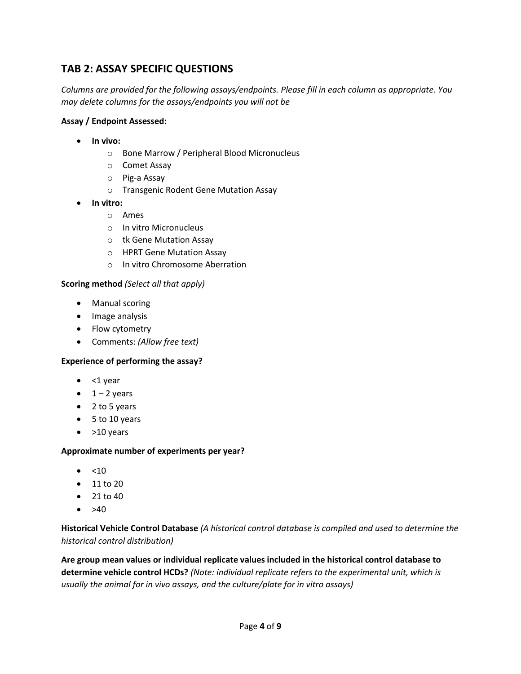# **TAB 2: ASSAY SPECIFIC QUESTIONS**

*Columns are provided for the following assays/endpoints. Please fill in each column as appropriate. You may delete columns for the assays/endpoints you will not be*

#### **Assay / Endpoint Assessed:**

- **In vivo:** 
	- o Bone Marrow / Peripheral Blood Micronucleus
	- o Comet Assay
	- o Pig-a Assay
	- o Transgenic Rodent Gene Mutation Assay
- **In vitro:**
	- o Ames
	- o In vitro Micronucleus
	- o tk Gene Mutation Assay
	- o HPRT Gene Mutation Assay
	- o In vitro Chromosome Aberration

#### **Scoring method** *(Select all that apply)*

- Manual scoring
- Image analysis
- Flow cytometry
- Comments: *(Allow free text)*

## **Experience of performing the assay?**

- $\bullet$  <1 year
- $\bullet$  1 2 years
- 2 to 5 years
- 5 to 10 years
- $\bullet$  >10 years

#### **Approximate number of experiments per year?**

- $\bullet$  <10
- 11 to 20
- $21 to 40$
- $\bullet$  >40

**Historical Vehicle Control Database** *(A historical control database is compiled and used to determine the historical control distribution)*

**Are group mean values or individual replicate values included in the historical control database to determine vehicle control HCDs?** *(Note: individual replicate refers to the experimental unit, which is usually the animal for in vivo assays, and the culture/plate for in vitro assays)*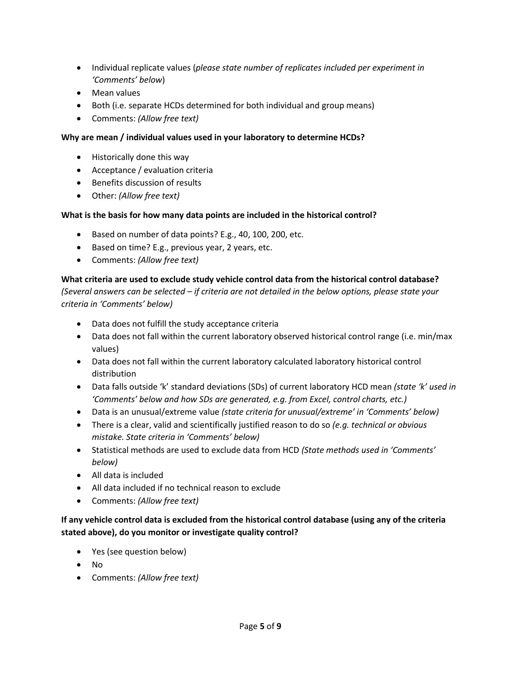- Individual replicate values (*please state number of replicates included per experiment in 'Comments' below*)
- Mean values
- Both (i.e. separate HCDs determined for both individual and group means)
- Comments: *(Allow free text)*

# **Why are mean / individual values used in your laboratory to determine HCDs?**

- Historically done this way
- Acceptance / evaluation criteria
- Benefits discussion of results
- Other: *(Allow free text)*

# **What is the basis for how many data points are included in the historical control?**

- Based on number of data points? E.g., 40, 100, 200, etc.
- Based on time? E.g., previous year, 2 years, etc.
- Comments: *(Allow free text)*

# **What criteria are used to exclude study vehicle control data from the historical control database?**

*(Several answers can be selected – if criteria are not detailed in the below options, please state your criteria in 'Comments' below)*

- Data does not fulfill the study acceptance criteria
- Data does not fall within the current laboratory observed historical control range (i.e. min/max values)
- Data does not fall within the current laboratory calculated laboratory historical control distribution
- Data falls outside 'k' standard deviations (SDs) of current laboratory HCD mean *(state 'k' used in 'Comments' below and how SDs are generated, e.g. from Excel, control charts, etc.)*
- Data is an unusual/extreme value *(state criteria for unusual/extreme' in 'Comments' below)*
- There is a clear, valid and scientifically justified reason to do so *(e.g. technical or obvious mistake. State criteria in 'Comments' below)*
- Statistical methods are used to exclude data from HCD *(State methods used in 'Comments' below)*
- All data is included
- All data included if no technical reason to exclude
- Comments: *(Allow free text)*

# **If any vehicle control data is excluded from the historical control database (using any of the criteria stated above), do you monitor or investigate quality control?**

- Yes (see question below)
- No
- Comments: *(Allow free text)*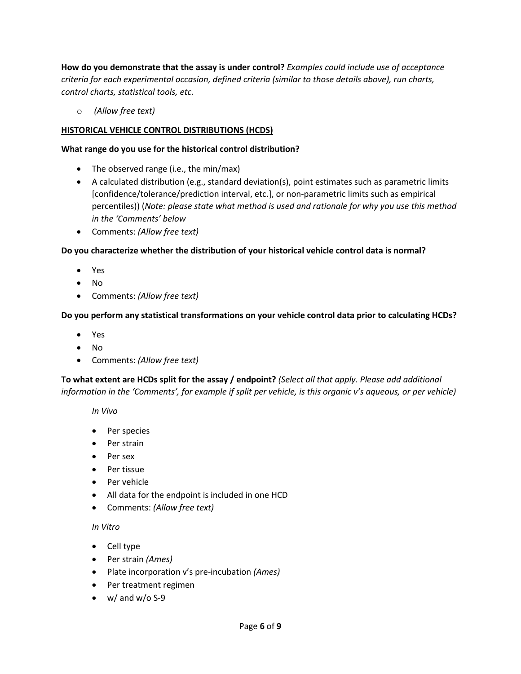**How do you demonstrate that the assay is under control?** *Examples could include use of acceptance criteria for each experimental occasion, defined criteria (similar to those details above), run charts, control charts, statistical tools, etc.*

o *(Allow free text)*

## **HISTORICAL VEHICLE CONTROL DISTRIBUTIONS (HCDS)**

#### **What range do you use for the historical control distribution?**

- The observed range (i.e., the min/max)
- A calculated distribution (e.g., standard deviation(s), point estimates such as parametric limits [confidence/tolerance/prediction interval, etc.], or non-parametric limits such as empirical percentiles)) (*Note: please state what method is used and rationale for why you use this method in the 'Comments' below*
- Comments: *(Allow free text)*

## **Do you characterize whether the distribution of your historical vehicle control data is normal?**

- Yes
- No
- Comments: *(Allow free text)*

## **Do you perform any statistical transformations on your vehicle control data prior to calculating HCDs?**

- Yes
- No
- Comments: *(Allow free text)*

**To what extent are HCDs split for the assay / endpoint?** *(Select all that apply. Please add additional information in the 'Comments', for example if split per vehicle, is this organic v's aqueous, or per vehicle)*

*In Vivo*

- Per species
- Per strain
- Per sex
- Per tissue
- Per vehicle
- All data for the endpoint is included in one HCD
- Comments: *(Allow free text)*

## *In Vitro*

- Cell type
- Per strain *(Ames)*
- Plate incorporation v's pre-incubation *(Ames)*
- Per treatment regimen
- $\bullet$  w/ and w/o S-9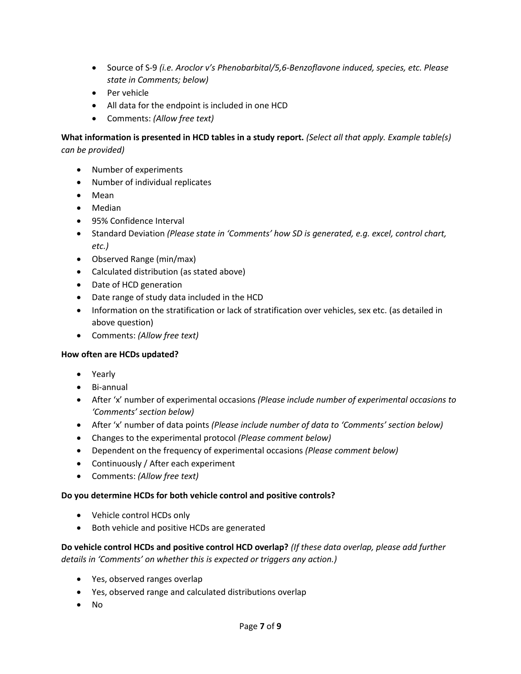- Source of S-9 *(i.e. Aroclor v's Phenobarbital/5,6-Benzoflavone induced, species, etc. Please state in Comments; below)*
- Per vehicle
- All data for the endpoint is included in one HCD
- Comments: *(Allow free text)*

**What information is presented in HCD tables in a study report.** *(Select all that apply. Example table(s) can be provided)*

- Number of experiments
- Number of individual replicates
- Mean
- Median
- 95% Confidence Interval
- Standard Deviation *(Please state in 'Comments' how SD is generated, e.g. excel, control chart, etc.)*
- Observed Range (min/max)
- Calculated distribution (as stated above)
- Date of HCD generation
- Date range of study data included in the HCD
- Information on the stratification or lack of stratification over vehicles, sex etc. (as detailed in above question)
- Comments: *(Allow free text)*

#### **How often are HCDs updated?**

- Yearly
- Bi-annual
- After 'x' number of experimental occasions *(Please include number of experimental occasions to 'Comments' section below)*
- After 'x' number of data points *(Please include number of data to 'Comments' section below)*
- Changes to the experimental protocol *(Please comment below)*
- Dependent on the frequency of experimental occasions *(Please comment below)*
- Continuously / After each experiment
- Comments: *(Allow free text)*

#### **Do you determine HCDs for both vehicle control and positive controls?**

- Vehicle control HCDs only
- Both vehicle and positive HCDs are generated

**Do vehicle control HCDs and positive control HCD overlap?** *(If these data overlap, please add further details in 'Comments' on whether this is expected or triggers any action.)*

- Yes, observed ranges overlap
- Yes, observed range and calculated distributions overlap
- No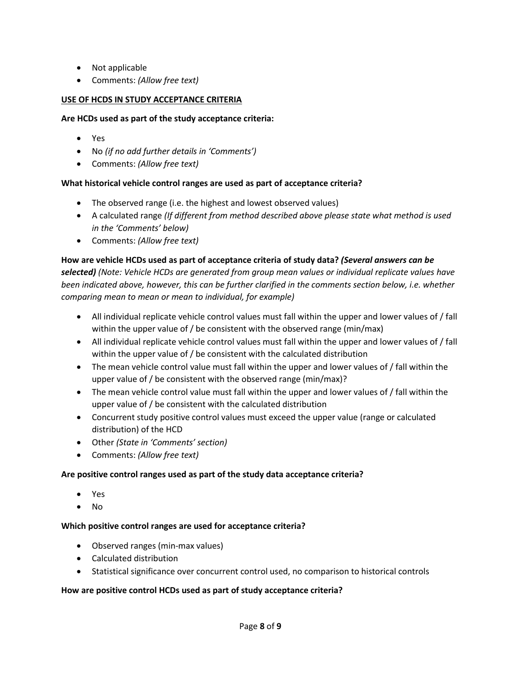- Not applicable
- Comments: *(Allow free text)*

## **USE OF HCDS IN STUDY ACCEPTANCE CRITERIA**

#### **Are HCDs used as part of the study acceptance criteria:**

- Yes
- No *(if no add further details in 'Comments')*
- Comments: *(Allow free text)*

## **What historical vehicle control ranges are used as part of acceptance criteria?**

- The observed range (i.e. the highest and lowest observed values)
- A calculated range *(If different from method described above please state what method is used in the 'Comments' below)*
- Comments: *(Allow free text)*

## **How are vehicle HCDs used as part of acceptance criteria of study data?** *(Several answers can be*

*selected) (Note: Vehicle HCDs are generated from group mean values or individual replicate values have been indicated above, however, this can be further clarified in the comments section below, i.e. whether comparing mean to mean or mean to individual, for example)* 

- All individual replicate vehicle control values must fall within the upper and lower values of / fall within the upper value of / be consistent with the observed range (min/max)
- All individual replicate vehicle control values must fall within the upper and lower values of / fall within the upper value of / be consistent with the calculated distribution
- The mean vehicle control value must fall within the upper and lower values of / fall within the upper value of / be consistent with the observed range (min/max)?
- The mean vehicle control value must fall within the upper and lower values of / fall within the upper value of / be consistent with the calculated distribution
- Concurrent study positive control values must exceed the upper value (range or calculated distribution) of the HCD
- Other *(State in 'Comments' section)*
- Comments: *(Allow free text)*

## **Are positive control ranges used as part of the study data acceptance criteria?**

- Yes
- No

## **Which positive control ranges are used for acceptance criteria?**

- Observed ranges (min-max values)
- Calculated distribution
- Statistical significance over concurrent control used, no comparison to historical controls

## **How are positive control HCDs used as part of study acceptance criteria?**